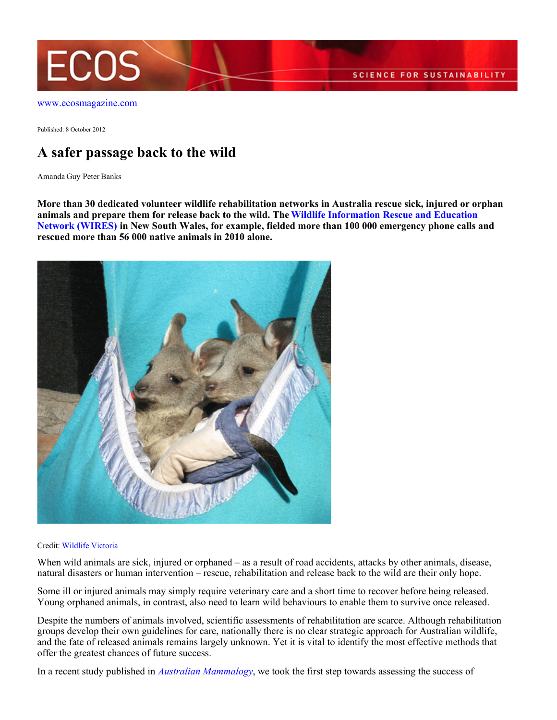

[www.ecosmagazine.com](http://www.ecosmagazine.com)

Published: 8 October 2012

# **A safer passage back to the wild**

Amanda Guy Peter Banks

**More than 30 dedicated volunteer wildlife rehabilitation networks in Australia rescue sick, injured or orphan animals and prepare them for release back to the wild. The [Wildlife Information Rescue and Education](http://www.wires.org.au) [Network \(WIRES\)](http://www.wires.org.au) in New South Wales, for example, fielded more than 100 000 emergency phone calls and rescued more than 56 000 native animals in 2010 alone.**



### Credit: [Wildlife Victoria](http://www.wildlifevictoria.org.au/)

When wild animals are sick, injured or orphaned – as a result of road accidents, attacks by other animals, disease, natural disasters or human intervention – rescue, rehabilitation and release back to the wild are their only hope.

Some ill or injured animals may simply require veterinary care and a short time to recover before being released. Young orphaned animals, in contrast, also need to learn wild behaviours to enable them to survive once released.

Despite the numbers of animals involved, scientific assessments of rehabilitation are scarce. Although rehabilitation groups develop their own guidelines for care, nationally there is no clear strategic approach for Australian wildlife, and the fate of released animals remains largely unknown. Yet it is vital to identify the most effective methods that offer the greatest chances of future success.

In a recent study published in *[Australian Mammalogy](http://www.publish.csiro.au/nid/256/paper/AM10046.htm)*, we took the first step towards assessing the success of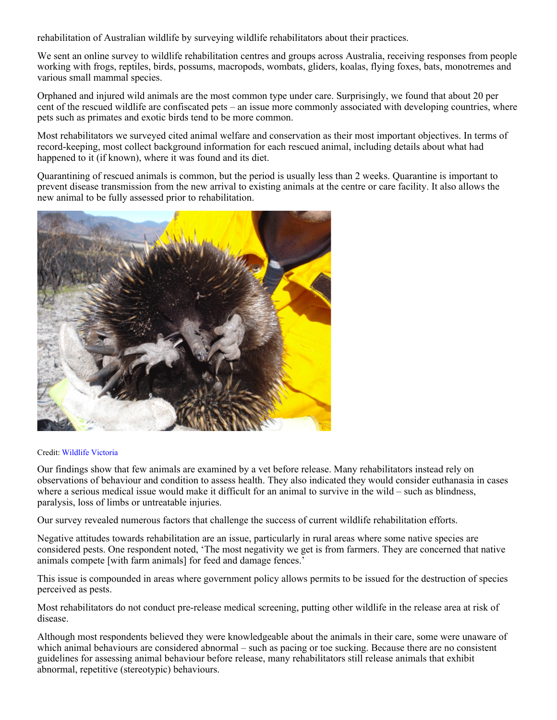rehabilitation of Australian wildlife by surveying wildlife rehabilitators about their practices.

We sent an online survey to wildlife rehabilitation centres and groups across Australia, receiving responses from people working with frogs, reptiles, birds, possums, macropods, wombats, gliders, koalas, flying foxes, bats, monotremes and various small mammal species.

Orphaned and injured wild animals are the most common type under care. Surprisingly, we found that about 20 per cent of the rescued wildlife are confiscated pets – an issue more commonly associated with developing countries, where pets such as primates and exotic birds tend to be more common.

Most rehabilitators we surveyed cited animal welfare and conservation as their most important objectives. In terms of record-keeping, most collect background information for each rescued animal, including details about what had happened to it (if known), where it was found and its diet.

Quarantining of rescued animals is common, but the period is usually less than 2 weeks. Quarantine is important to prevent disease transmission from the new arrival to existing animals at the centre or care facility. It also allows the new animal to be fully assessed prior to rehabilitation.



#### Credit: [Wildlife Victoria](http://www.wildlifevictoria.org.au/)

Our findings show that few animals are examined by a vet before release. Many rehabilitators instead rely on observations of behaviour and condition to assess health. They also indicated they would consider euthanasia in cases where a serious medical issue would make it difficult for an animal to survive in the wild – such as blindness, paralysis, loss of limbs or untreatable injuries.

Our survey revealed numerous factors that challenge the success of current wildlife rehabilitation efforts.

Negative attitudes towards rehabilitation are an issue, particularly in rural areas where some native species are considered pests. One respondent noted, 'The most negativity we get is from farmers. They are concerned that native animals compete [with farm animals] for feed and damage fences.'

This issue is compounded in areas where government policy allows permits to be issued for the destruction of species perceived as pests.

Most rehabilitators do not conduct pre-release medical screening, putting other wildlife in the release area at risk of disease.

Although most respondents believed they were knowledgeable about the animals in their care, some were unaware of which animal behaviours are considered abnormal – such as pacing or toe sucking. Because there are no consistent guidelines for assessing animal behaviour before release, many rehabilitators still release animals that exhibit abnormal, repetitive (stereotypic) behaviours.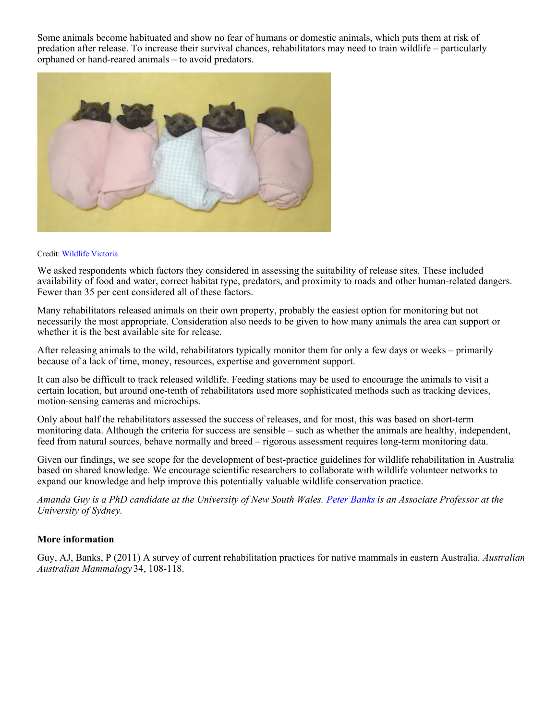Some animals become habituated and show no fear of humans or domestic animals, which puts them at risk of predation after release. To increase their survival chances, rehabilitators may need to train wildlife – particularly orphaned or hand-reared animals – to avoid predators.



#### Credit: [Wildlife Victoria](http://www.wildlifevictoria.org.au/)

We asked respondents which factors they considered in assessing the suitability of release sites. These included availability of food and water, correct habitat type, predators, and proximity to roads and other human-related dangers. Fewer than 35 per cent considered all of these factors.

Many rehabilitators released animals on their own property, probably the easiest option for monitoring but not necessarily the most appropriate. Consideration also needs to be given to how many animals the area can support or whether it is the best available site for release.

After releasing animals to the wild, rehabilitators typically monitor them for only a few days or weeks – primarily because of a lack of time, money, resources, expertise and government support.

It can also be difficult to track released wildlife. Feeding stations may be used to encourage the animals to visit a certain location, but around one-tenth of rehabilitators used more sophisticated methods such as tracking devices, motion-sensing cameras and microchips.

Only about half the rehabilitators assessed the success of releases, and for most, this was based on short-term monitoring data. Although the criteria for success are sensible – such as whether the animals are healthy, independent, feed from natural sources, behave normally and breed – rigorous assessment requires long-term monitoring data.

Given our findings, we see scope for the development of best-practice guidelines for wildlife rehabilitation in Australia based on shared knowledge. We encourage scientific researchers to collaborate with wildlife volunteer networks to expand our knowledge and help improve this potentially valuable wildlife conservation practice.

*Amanda Guy is a PhD candidate at the University of New South Wales. [Peter Banks](http://www.ecosmagazine.com/?paper=EC12344) is an Associate Professor at the University of Sydney.*

## **More information**

Guy, AJ, Banks, P (2011) A survey of current rehabilitation practices for native mammals in eastern Australia. *Australian Australian Mammalogy* 34, 108-118.